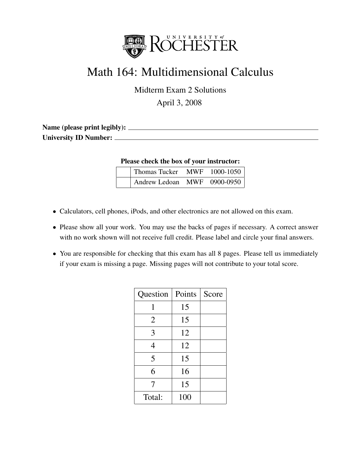

## Math 164: Multidimensional Calculus

Midterm Exam 2 Solutions

April 3, 2008

| Name (please print legibly): |  |
|------------------------------|--|
| University ID Number: _      |  |
|                              |  |

Please check the box of your instructor:

| Thomas Tucker MWF 1000-1050 |  |
|-----------------------------|--|
| Andrew Ledoan MWF 0900-0950 |  |

- Calculators, cell phones, iPods, and other electronics are not allowed on this exam.
- Please show all your work. You may use the backs of pages if necessary. A correct answer with no work shown will not receive full credit. Please label and circle your final answers.
- You are responsible for checking that this exam has all 8 pages. Please tell us immediately if your exam is missing a page. Missing pages will not contribute to your total score.

| Question       | Points | Score |
|----------------|--------|-------|
| 1              | 15     |       |
| $\overline{2}$ | 15     |       |
| 3              | 12     |       |
| 4              | 12     |       |
| 5              | 15     |       |
| 6              | 16     |       |
| 7              | 15     |       |
| Total:         | 100    |       |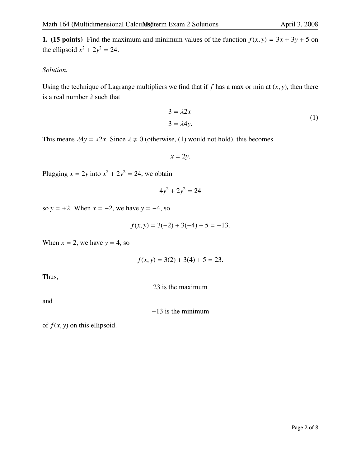1. (15 points) Find the maximum and minimum values of the function  $f(x, y) = 3x + 3y + 5$  on the ellipsoid  $x^2 + 2y^2 = 24$ .

## *Solution.*

Using the technique of Lagrange multipliers we find that if  $f$  has a max or min at  $(x, y)$ , then there is a real number  $\lambda$  such that

$$
3 = \lambda 2x
$$
  
 
$$
3 = \lambda 4y.
$$
 (1)

This means  $\lambda 4y = \lambda 2x$ . Since  $\lambda \neq 0$  (otherwise, (1) would not hold), this becomes

$$
x=2y.
$$

Plugging  $x = 2y$  into  $x^2 + 2y^2 = 24$ , we obtain

$$
4y^2 + 2y^2 = 24
$$

so  $y = \pm 2$ . When  $x = -2$ , we have  $y = -4$ , so

$$
f(x, y) = 3(-2) + 3(-4) + 5 = -13.
$$

When  $x = 2$ , we have  $y = 4$ , so

$$
f(x, y) = 3(2) + 3(4) + 5 = 23.
$$

Thus,

23 is the maximum

and

−13 is the minimum

of  $f(x, y)$  on this ellipsoid.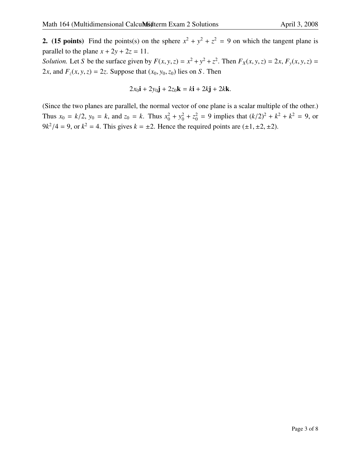**2.** (15 points) Find the points(s) on the sphere  $x^2 + y^2 + z^2 = 9$  on which the tangent plane is parallel to the plane  $x + 2y + 2z = 11$ .

Solution. Let S be the surface given by  $F(x, y, z) = x^2 + y^2 + z^2$ . Then  $F_X(x, y, z) = 2x$ ,  $F_y(x, y, z) = 2x$ . 2*x*, and  $F_z(x, y, z) = 2z$ . Suppose that  $(x_0, y_0, z_0)$  lies on *S*. Then

$$
2x_0\mathbf{i} + 2y_0\mathbf{j} + 2z_0\mathbf{k} = k\mathbf{i} + 2k\mathbf{j} + 2k\mathbf{k}.
$$

(Since the two planes are parallel, the normal vector of one plane is a scalar multiple of the other.) Thus  $x_0 = k/2$ ,  $y_0 = k$ , and  $z_0 = k$ . Thus  $x_0^2 + y_0^2 + z_0^2 = 9$  implies that  $(k/2)^2 + k^2 + k^2 = 9$ , or  $9k^2/4 = 9$ , or  $k^2 = 4$ . This gives  $k = \pm 2$ . Hence the required points are  $(\pm 1, \pm 2, \pm 2)$ .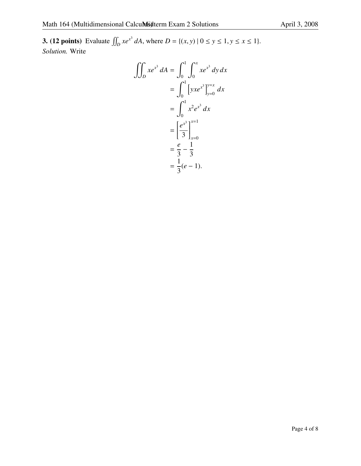**3.** (12 points) Evaluate  $\iint_D xe^{x^3} dA$ , where  $D = \{(x, y) | 0 \le y \le 1, y \le x \le 1\}$ . *Solution.* Write

$$
\iint_D xe^{x^3} dA = \int_0^1 \int_0^x xe^{x^3} dy dx
$$
  
= 
$$
\int_0^1 [yxe^{x^3}]_{y=0}^{y=x} dx
$$
  
= 
$$
\int_0^1 x^2 e^{x^3} dx
$$
  
= 
$$
\left[\frac{e^{x^3}}{3}\right]_{x=0}^{x=1}
$$
  
= 
$$
\frac{e}{3} - \frac{1}{3}
$$
  
= 
$$
\frac{1}{3}(e-1).
$$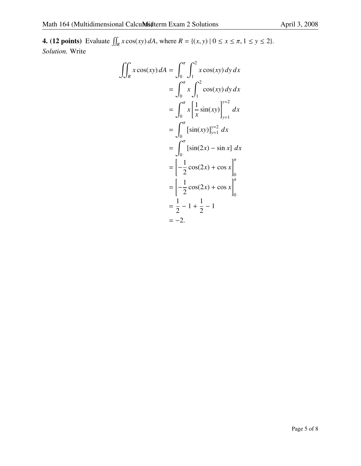**4.** (12 points) Evaluate  $\iint_R x \cos(xy) dA$ , where  $R = \{(x, y) | 0 \le x \le \pi, 1 \le y \le 2\}$ . *Solution.* Write

$$
\iint_{R} x \cos(xy) dA = \int_{0}^{\pi} \int_{1}^{2} x \cos(xy) dy dx
$$
  
=  $\int_{0}^{\pi} x \int_{1}^{2} \cos(xy) dy dx$   
=  $\int_{0}^{\pi} x \left[ \frac{1}{x} \sin(xy) \right]_{y=1}^{y=2} dx$   
=  $\int_{0}^{\pi} [\sin(xy)]_{y=1}^{y=2} dx$   
=  $\int_{0}^{\pi} [\sin(2x) - \sin x] dx$   
=  $\left[ -\frac{1}{2} \cos(2x) + \cos x \right]_{0}^{\pi}$   
=  $\left[ -\frac{1}{2} \cos(2x) + \cos x \right]_{0}^{\pi}$   
=  $\frac{1}{2} - 1 + \frac{1}{2} - 1$   
=  $-2$ .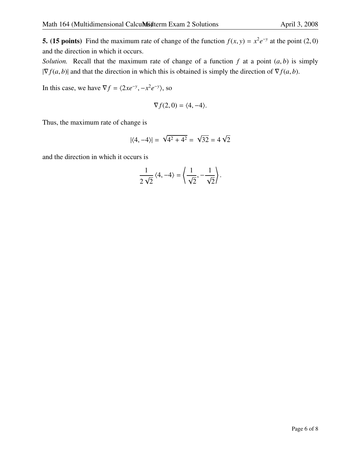**5.** (15 points) Find the maximum rate of change of the function  $f(x, y) = x^2 e^{-y}$  at the point (2, 0) and the direction in which it occurs.

*Solution.* Recall that the maximum rate of change of a function  $f$  at a point  $(a, b)$  is simply  $|\nabla f(a, b)|$  and that the direction in which this is obtained is simply the direction of  $\nabla f(a, b)$ .

In this case, we have  $\nabla f = \langle 2xe^{-y}, -x^2e^{-y} \rangle$ , so

$$
\nabla f(2,0) = \langle 4, -4 \rangle.
$$

Thus, the maximum rate of change is

$$
|\langle 4, -4 \rangle| = \sqrt{4^2 + 4^2} = \sqrt{32} = 4\sqrt{2}
$$

and the direction in which it occurs is

$$
\frac{1}{2\sqrt{2}}\langle 4,-4\rangle = \left\langle \frac{1}{\sqrt{2}},-\frac{1}{\sqrt{2}}\right\rangle.
$$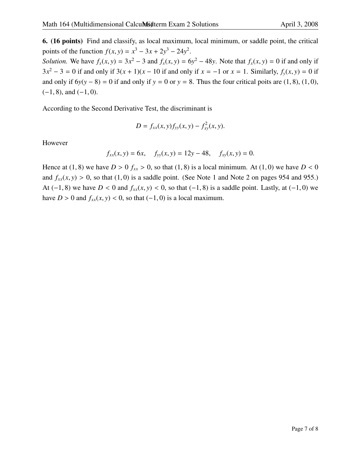6. (16 points) Find and classify, as local maximum, local minimum, or saddle point, the critical points of the function  $f(x, y) = x^3 - 3x + 2y^3 - 24y^2$ .

*Solution.* We have  $f_x(x, y) = 3x^2 - 3$  and  $f_x(x, y) = 6y^2 - 48y$ . Note that  $f_x(x, y) = 0$  if and only if  $3x^2 - 3 = 0$  if and only if  $3(x + 1)(x - 10)$  if and only if  $x = -1$  or  $x = 1$ . Similarly,  $f_y(x, y) = 0$  if and only if  $6y(y - 8) = 0$  if and only if  $y = 0$  or  $y = 8$ . Thus the four critical poits are (1, 8), (1, 0),  $(-1, 8)$ , and  $(-1, 0)$ .

According to the Second Derivative Test, the discriminant is

$$
D = f_{xx}(x, y) f_{yy}(x, y) - f_{xy}^2(x, y).
$$

However

$$
f_{xx}(x, y) = 6x
$$
,  $f_{yy}(x, y) = 12y - 48$ ,  $f_{xy}(x, y) = 0$ .

Hence at (1, 8) we have  $D > 0$   $f_{xx} > 0$ , so that (1, 8) is a local minimum. At (1, 0) we have  $D < 0$ and  $f_{xx}(x, y) > 0$ , so that (1,0) is a saddle point. (See Note 1 and Note 2 on pages 954 and 955.) At (−1, 8) we have  $D < 0$  and  $f_{xx}(x, y) < 0$ , so that (−1, 8) is a saddle point. Lastly, at (−1, 0) we have *D* > 0 and  $f_{xx}(x, y)$  < 0, so that (−1, 0) is a local maximum.